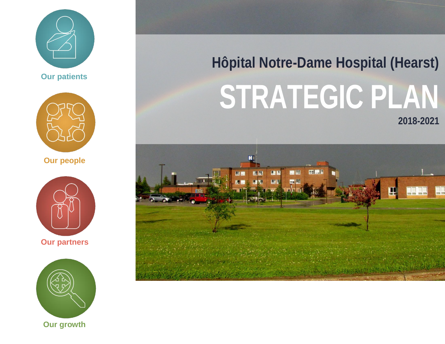



**Our people**



**Our partners**



# **Hôpital Notre-Dame Hospital (Hearst) STRATEGIC PLAN 2018-2021**

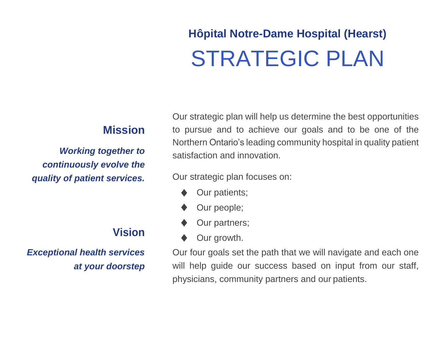### **Hôpital Notre-Dame Hospital (Hearst)** STRATEGIC PLAN

#### **Mission**

*Working together to continuously evolve the quality of patient services.*

### **Vision**

*Exceptional health services at your doorstep* Our strategic plan will help us determine the best opportunities to pursue and to achieve our goals and to be one of the Northern Ontario's leading community hospital in quality patient satisfaction and innovation.

Our strategic plan focuses on:

- Our patients;
- Our people;
- Our partners;
- Our growth.

Our four goals set the path that we will navigate and each one will help quide our success based on input from our staff, physicians, community partners and our patients.